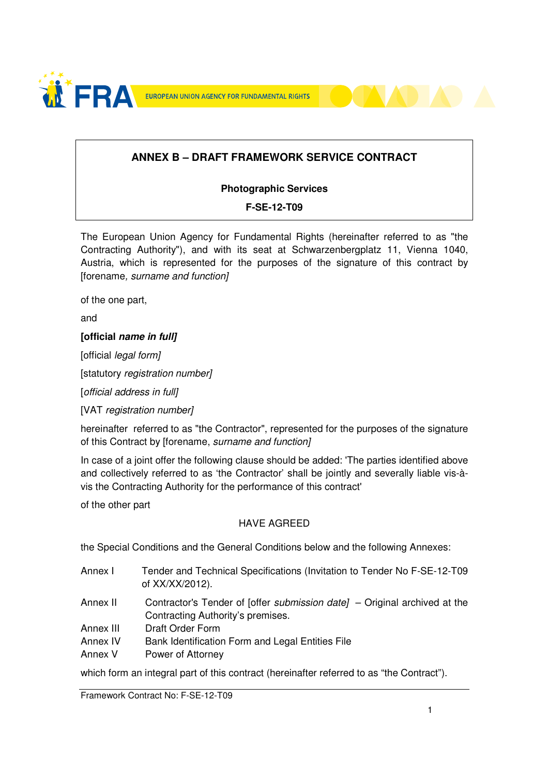

## **ANNEX B – DRAFT FRAMEWORK SERVICE CONTRACT**

#### **Photographic Services**

#### **F-SE-12-T09**

The European Union Agency for Fundamental Rights (hereinafter referred to as "the Contracting Authority"), and with its seat at Schwarzenbergplatz 11, Vienna 1040, Austria, which is represented for the purposes of the signature of this contract by [forename, surname and function]

of the one part,

and

#### **[official name in full]**

[official *legal form]* 

[statutory registration number]

[official address in full]

[VAT registration number]

hereinafter referred to as "the Contractor", represented for the purposes of the signature of this Contract by [forename, surname and function]

In case of a joint offer the following clause should be added: 'The parties identified above and collectively referred to as 'the Contractor' shall be jointly and severally liable vis-àvis the Contracting Authority for the performance of this contract'

of the other part

#### HAVE AGREED

the Special Conditions and the General Conditions below and the following Annexes:

- Annex I Tender and Technical Specifications (Invitation to Tender No F-SE-12-T09 of XX/XX/2012).
- Annex II Contractor's Tender of [offer *submission date]* Original archived at the Contracting Authority's premises.
- Annex III Draft Order Form
- Annex IV Bank Identification Form and Legal Entities File
- Annex V Power of Attorney

which form an integral part of this contract (hereinafter referred to as "the Contract").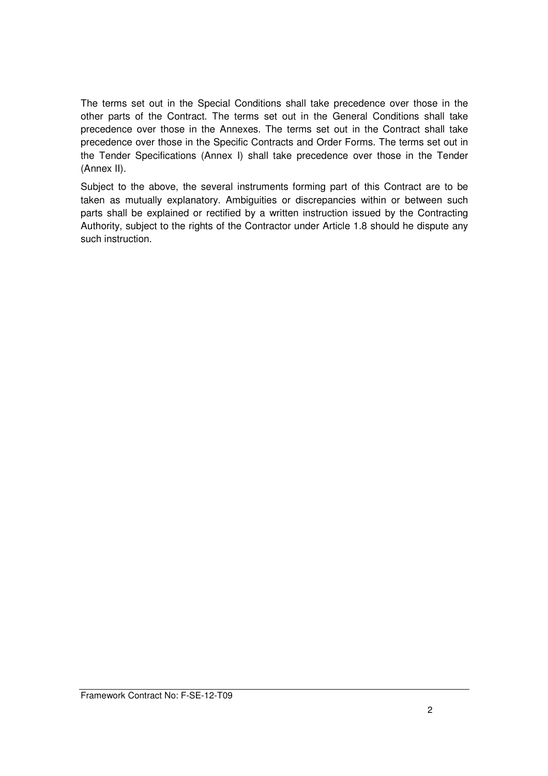The terms set out in the Special Conditions shall take precedence over those in the other parts of the Contract. The terms set out in the General Conditions shall take precedence over those in the Annexes. The terms set out in the Contract shall take precedence over those in the Specific Contracts and Order Forms. The terms set out in the Tender Specifications (Annex I) shall take precedence over those in the Tender (Annex II).

Subject to the above, the several instruments forming part of this Contract are to be taken as mutually explanatory. Ambiguities or discrepancies within or between such parts shall be explained or rectified by a written instruction issued by the Contracting Authority, subject to the rights of the Contractor under Article 1.8 should he dispute any such instruction.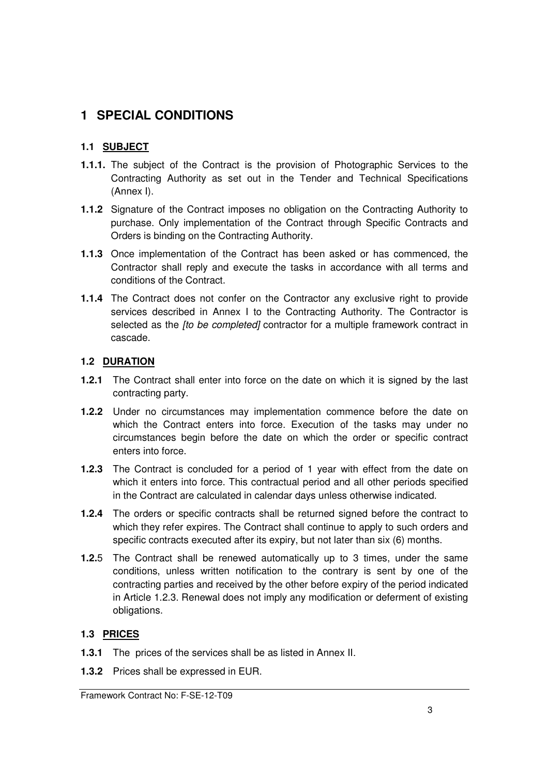## **1 SPECIAL CONDITIONS**

### **1.1 SUBJECT**

- **1.1.1.** The subject of the Contract is the provision of Photographic Services to the Contracting Authority as set out in the Tender and Technical Specifications (Annex I).
- **1.1.2** Signature of the Contract imposes no obligation on the Contracting Authority to purchase. Only implementation of the Contract through Specific Contracts and Orders is binding on the Contracting Authority.
- **1.1.3** Once implementation of the Contract has been asked or has commenced, the Contractor shall reply and execute the tasks in accordance with all terms and conditions of the Contract.
- **1.1.4** The Contract does not confer on the Contractor any exclusive right to provide services described in Annex I to the Contracting Authority. The Contractor is selected as the *[to be completed]* contractor for a multiple framework contract in cascade.

### **1.2 DURATION**

- **1.2.1** The Contract shall enter into force on the date on which it is signed by the last contracting party.
- **1.2.2** Under no circumstances may implementation commence before the date on which the Contract enters into force. Execution of the tasks may under no circumstances begin before the date on which the order or specific contract enters into force.
- **1.2.3** The Contract is concluded for a period of 1 year with effect from the date on which it enters into force. This contractual period and all other periods specified in the Contract are calculated in calendar days unless otherwise indicated.
- **1.2.4** The orders or specific contracts shall be returned signed before the contract to which they refer expires. The Contract shall continue to apply to such orders and specific contracts executed after its expiry, but not later than six (6) months.
- **1.2.**5 The Contract shall be renewed automatically up to 3 times, under the same conditions, unless written notification to the contrary is sent by one of the contracting parties and received by the other before expiry of the period indicated in Article 1.2.3. Renewal does not imply any modification or deferment of existing obligations.

#### **1.3 PRICES**

- **1.3.1** The prices of the services shall be as listed in Annex II.
- **1.3.2** Prices shall be expressed in EUR.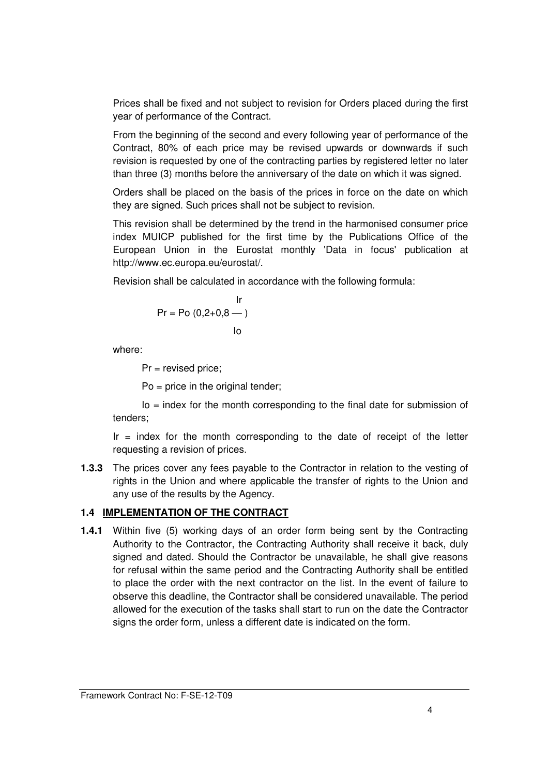Prices shall be fixed and not subject to revision for Orders placed during the first year of performance of the Contract.

From the beginning of the second and every following year of performance of the Contract, 80% of each price may be revised upwards or downwards if such revision is requested by one of the contracting parties by registered letter no later than three (3) months before the anniversary of the date on which it was signed.

Orders shall be placed on the basis of the prices in force on the date on which they are signed. Such prices shall not be subject to revision.

This revision shall be determined by the trend in the harmonised consumer price index MUICP published for the first time by the Publications Office of the European Union in the Eurostat monthly 'Data in focus' publication at http://www.ec.europa.eu/eurostat/.

Revision shall be calculated in accordance with the following formula:

$$
Pr = Po (0, 2+0, 8 - )
$$
  
lo

where:

Pr = revised price;

Po = price in the original tender;

 $Io = index$  for the month corresponding to the final date for submission of tenders;

 $Ir = index$  for the month corresponding to the date of receipt of the letter requesting a revision of prices.

**1.3.3** The prices cover any fees payable to the Contractor in relation to the vesting of rights in the Union and where applicable the transfer of rights to the Union and any use of the results by the Agency.

#### **1.4 IMPLEMENTATION OF THE CONTRACT**

**1.4.1** Within five (5) working days of an order form being sent by the Contracting Authority to the Contractor, the Contracting Authority shall receive it back, duly signed and dated. Should the Contractor be unavailable, he shall give reasons for refusal within the same period and the Contracting Authority shall be entitled to place the order with the next contractor on the list. In the event of failure to observe this deadline, the Contractor shall be considered unavailable. The period allowed for the execution of the tasks shall start to run on the date the Contractor signs the order form, unless a different date is indicated on the form.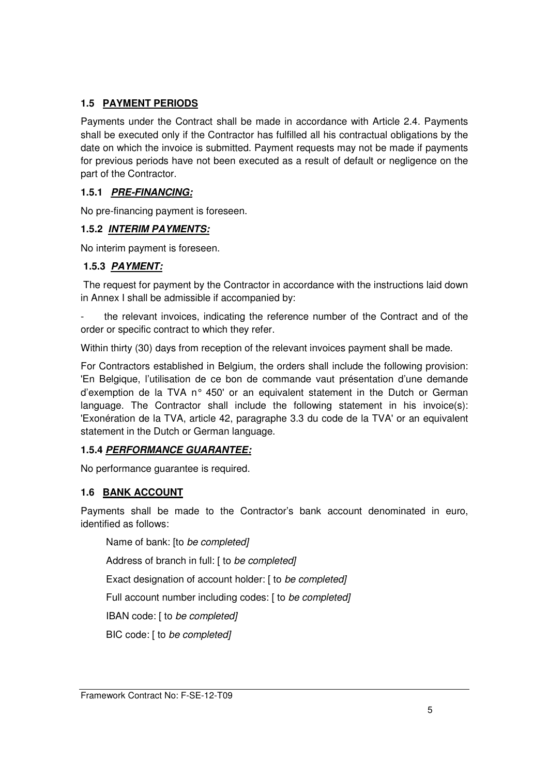## **1.5 PAYMENT PERIODS**

Payments under the Contract shall be made in accordance with Article 2.4. Payments shall be executed only if the Contractor has fulfilled all his contractual obligations by the date on which the invoice is submitted. Payment requests may not be made if payments for previous periods have not been executed as a result of default or negligence on the part of the Contractor.

#### **1.5.1 PRE-FINANCING:**

No pre-financing payment is foreseen.

#### **1.5.2 INTERIM PAYMENTS:**

No interim payment is foreseen.

#### **1.5.3 PAYMENT:**

 The request for payment by the Contractor in accordance with the instructions laid down in Annex I shall be admissible if accompanied by:

the relevant invoices, indicating the reference number of the Contract and of the order or specific contract to which they refer.

Within thirty (30) days from reception of the relevant invoices payment shall be made.

For Contractors established in Belgium, the orders shall include the following provision: 'En Belgique, l'utilisation de ce bon de commande vaut présentation d'une demande d'exemption de la TVA n° 450' or an equivalent statement in the Dutch or German language. The Contractor shall include the following statement in his invoice(s): 'Exonération de la TVA, article 42, paragraphe 3.3 du code de la TVA' or an equivalent statement in the Dutch or German language.

#### **1.5.4 PERFORMANCE GUARANTEE:**

No performance guarantee is required.

#### **1.6 BANK ACCOUNT**

Payments shall be made to the Contractor's bank account denominated in euro, identified as follows:

Name of bank: [to be completed]

Address of branch in full: [ to be completed]

Exact designation of account holder: [ to be completed]

Full account number including codes: [ to be completed]

IBAN code: [ to be completed]

BIC code: [ to be completed]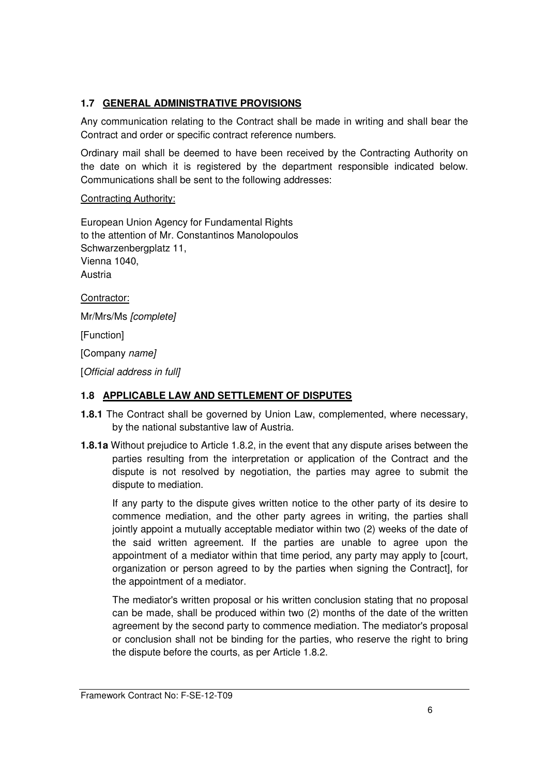## **1.7 GENERAL ADMINISTRATIVE PROVISIONS**

Any communication relating to the Contract shall be made in writing and shall bear the Contract and order or specific contract reference numbers.

Ordinary mail shall be deemed to have been received by the Contracting Authority on the date on which it is registered by the department responsible indicated below. Communications shall be sent to the following addresses:

#### Contracting Authority:

European Union Agency for Fundamental Rights to the attention of Mr. Constantinos Manolopoulos Schwarzenbergplatz 11, Vienna 1040, Austria

Contractor:

Mr/Mrs/Ms [complete]

[Function]

[Company name]

[Official address in full]

#### **1.8 APPLICABLE LAW AND SETTLEMENT OF DISPUTES**

- **1.8.1** The Contract shall be governed by Union Law, complemented, where necessary, by the national substantive law of Austria.
- **1.8.1a** Without prejudice to Article 1.8.2, in the event that any dispute arises between the parties resulting from the interpretation or application of the Contract and the dispute is not resolved by negotiation, the parties may agree to submit the dispute to mediation.

If any party to the dispute gives written notice to the other party of its desire to commence mediation, and the other party agrees in writing, the parties shall jointly appoint a mutually acceptable mediator within two (2) weeks of the date of the said written agreement. If the parties are unable to agree upon the appointment of a mediator within that time period, any party may apply to [court, organization or person agreed to by the parties when signing the Contract], for the appointment of a mediator.

The mediator's written proposal or his written conclusion stating that no proposal can be made, shall be produced within two (2) months of the date of the written agreement by the second party to commence mediation. The mediator's proposal or conclusion shall not be binding for the parties, who reserve the right to bring the dispute before the courts, as per Article 1.8.2.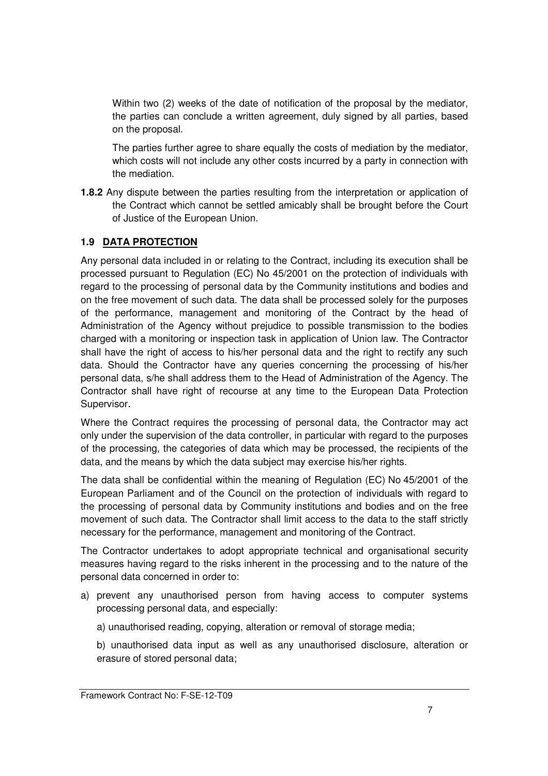Within two (2) weeks of the date of notification of the proposal by the mediator, the parties can conclude a written agreement, duly signed by all parties, based on the proposal.

The parties further agree to share equally the costs of mediation by the mediator, which costs will not include any other costs incurred by a party in connection with the mediation.

**1.8.2** Any dispute between the parties resulting from the interpretation or application of the Contract which cannot be settled amicably shall be brought before the Court of Justice of the European Union.

### **1.9 DATA PROTECTION**

Any personal data included in or relating to the Contract, including its execution shall be processed pursuant to Regulation (EC) No 45/2001 on the protection of individuals with regard to the processing of personal data by the Community institutions and bodies and on the free movement of such data. The data shall be processed solely for the purposes of the performance, management and monitoring of the Contract by the head of Administration of the Agency without prejudice to possible transmission to the bodies charged with a monitoring or inspection task in application of Union law. The Contractor shall have the right of access to his/her personal data and the right to rectify any such data. Should the Contractor have any queries concerning the processing of his/her personal data, s/he shall address them to the Head of Administration of the Agency. The Contractor shall have right of recourse at any time to the European Data Protection Supervisor.

Where the Contract requires the processing of personal data, the Contractor may act only under the supervision of the data controller, in particular with regard to the purposes of the processing, the categories of data which may be processed, the recipients of the data, and the means by which the data subject may exercise his/her rights.

The data shall be confidential within the meaning of Regulation (EC) No 45/2001 of the European Parliament and of the Council on the protection of individuals with regard to the processing of personal data by Community institutions and bodies and on the free movement of such data. The Contractor shall limit access to the data to the staff strictly necessary for the performance, management and monitoring of the Contract.

The Contractor undertakes to adopt appropriate technical and organisational security measures having regard to the risks inherent in the processing and to the nature of the personal data concerned in order to:

- a) prevent any unauthorised person from having access to computer systems processing personal data, and especially:
	- a) unauthorised reading, copying, alteration or removal of storage media;
	- b) unauthorised data input as well as any unauthorised disclosure, alteration or erasure of stored personal data;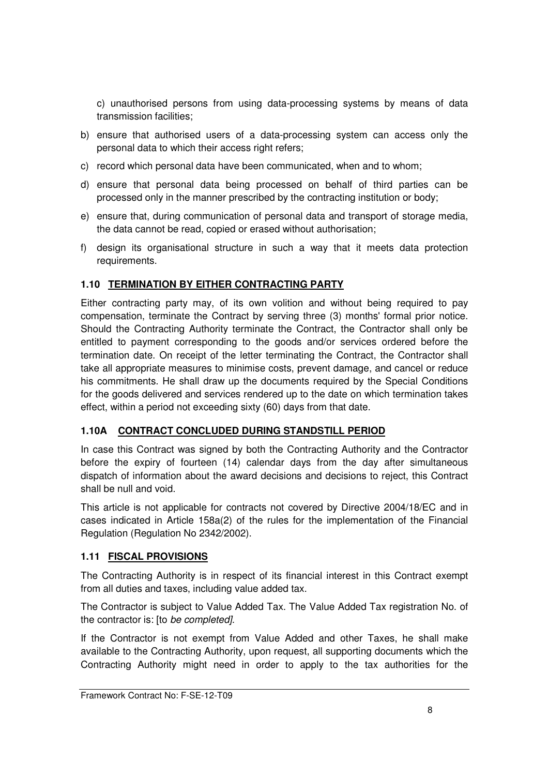c) unauthorised persons from using data-processing systems by means of data transmission facilities;

- b) ensure that authorised users of a data-processing system can access only the personal data to which their access right refers;
- c) record which personal data have been communicated, when and to whom;
- d) ensure that personal data being processed on behalf of third parties can be processed only in the manner prescribed by the contracting institution or body;
- e) ensure that, during communication of personal data and transport of storage media, the data cannot be read, copied or erased without authorisation;
- f) design its organisational structure in such a way that it meets data protection requirements.

## **1.10 TERMINATION BY EITHER CONTRACTING PARTY**

Either contracting party may, of its own volition and without being required to pay compensation, terminate the Contract by serving three (3) months' formal prior notice. Should the Contracting Authority terminate the Contract, the Contractor shall only be entitled to payment corresponding to the goods and/or services ordered before the termination date. On receipt of the letter terminating the Contract, the Contractor shall take all appropriate measures to minimise costs, prevent damage, and cancel or reduce his commitments. He shall draw up the documents required by the Special Conditions for the goods delivered and services rendered up to the date on which termination takes effect, within a period not exceeding sixty (60) days from that date.

## **1.10A CONTRACT CONCLUDED DURING STANDSTILL PERIOD**

In case this Contract was signed by both the Contracting Authority and the Contractor before the expiry of fourteen (14) calendar days from the day after simultaneous dispatch of information about the award decisions and decisions to reject, this Contract shall be null and void.

This article is not applicable for contracts not covered by Directive 2004/18/EC and in cases indicated in Article 158a(2) of the rules for the implementation of the Financial Regulation (Regulation No 2342/2002).

## **1.11 FISCAL PROVISIONS**

The Contracting Authority is in respect of its financial interest in this Contract exempt from all duties and taxes, including value added tax.

The Contractor is subject to Value Added Tax. The Value Added Tax registration No. of the contractor is: [to be completed].

If the Contractor is not exempt from Value Added and other Taxes, he shall make available to the Contracting Authority, upon request, all supporting documents which the Contracting Authority might need in order to apply to the tax authorities for the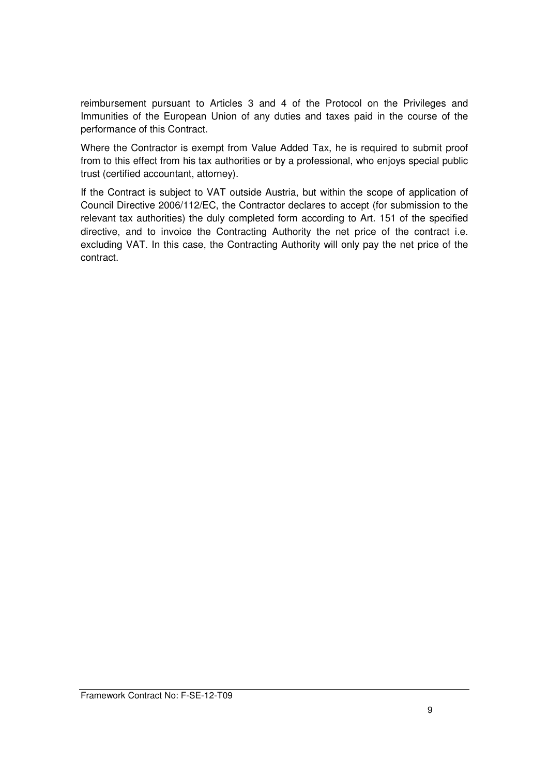reimbursement pursuant to Articles 3 and 4 of the Protocol on the Privileges and Immunities of the European Union of any duties and taxes paid in the course of the performance of this Contract.

Where the Contractor is exempt from Value Added Tax, he is required to submit proof from to this effect from his tax authorities or by a professional, who enjoys special public trust (certified accountant, attorney).

If the Contract is subject to VAT outside Austria, but within the scope of application of Council Directive 2006/112/EC, the Contractor declares to accept (for submission to the relevant tax authorities) the duly completed form according to Art. 151 of the specified directive, and to invoice the Contracting Authority the net price of the contract i.e. excluding VAT. In this case, the Contracting Authority will only pay the net price of the contract.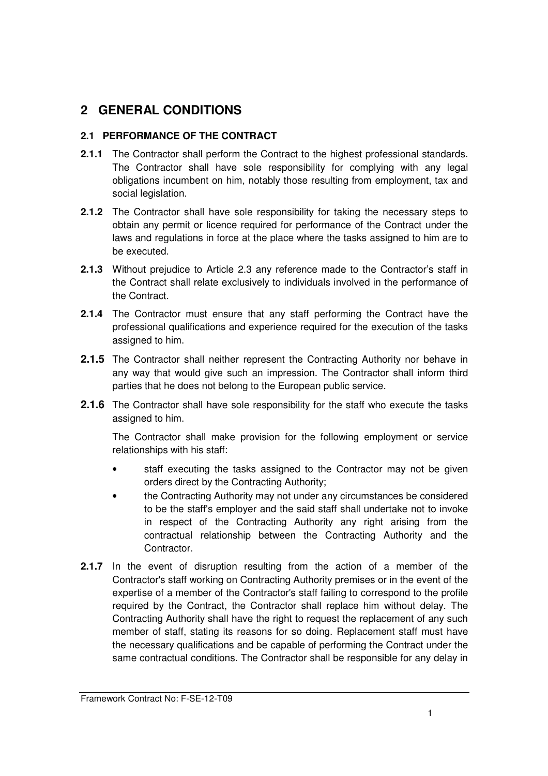## **2 GENERAL CONDITIONS**

## **2.1 PERFORMANCE OF THE CONTRACT**

- **2.1.1** The Contractor shall perform the Contract to the highest professional standards. The Contractor shall have sole responsibility for complying with any legal obligations incumbent on him, notably those resulting from employment, tax and social legislation.
- **2.1.2** The Contractor shall have sole responsibility for taking the necessary steps to obtain any permit or licence required for performance of the Contract under the laws and regulations in force at the place where the tasks assigned to him are to be executed.
- **2.1.3** Without prejudice to Article 2.3 any reference made to the Contractor's staff in the Contract shall relate exclusively to individuals involved in the performance of the Contract.
- **2.1.4** The Contractor must ensure that any staff performing the Contract have the professional qualifications and experience required for the execution of the tasks assigned to him.
- **2.1.5** The Contractor shall neither represent the Contracting Authority nor behave in any way that would give such an impression. The Contractor shall inform third parties that he does not belong to the European public service.
- **2.1.6** The Contractor shall have sole responsibility for the staff who execute the tasks assigned to him.

The Contractor shall make provision for the following employment or service relationships with his staff:

- staff executing the tasks assigned to the Contractor may not be given orders direct by the Contracting Authority;
- the Contracting Authority may not under any circumstances be considered to be the staff's employer and the said staff shall undertake not to invoke in respect of the Contracting Authority any right arising from the contractual relationship between the Contracting Authority and the Contractor.
- **2.1.7** In the event of disruption resulting from the action of a member of the Contractor's staff working on Contracting Authority premises or in the event of the expertise of a member of the Contractor's staff failing to correspond to the profile required by the Contract, the Contractor shall replace him without delay. The Contracting Authority shall have the right to request the replacement of any such member of staff, stating its reasons for so doing. Replacement staff must have the necessary qualifications and be capable of performing the Contract under the same contractual conditions. The Contractor shall be responsible for any delay in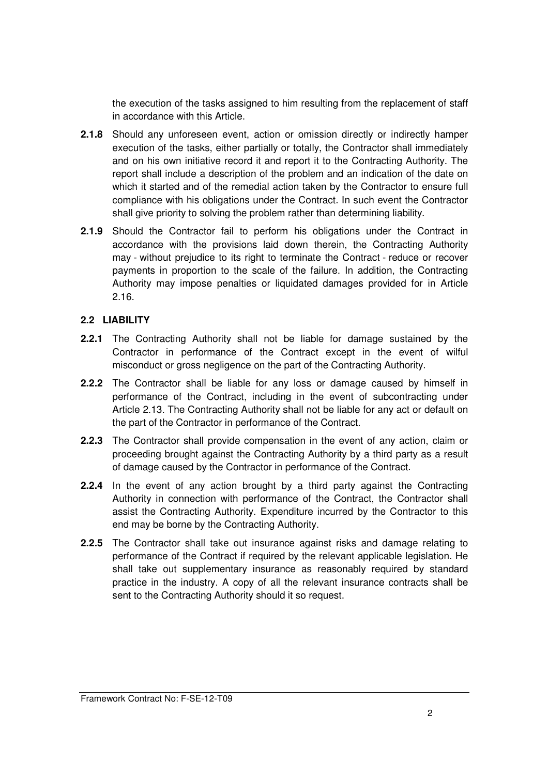the execution of the tasks assigned to him resulting from the replacement of staff in accordance with this Article.

- **2.1.8** Should any unforeseen event, action or omission directly or indirectly hamper execution of the tasks, either partially or totally, the Contractor shall immediately and on his own initiative record it and report it to the Contracting Authority. The report shall include a description of the problem and an indication of the date on which it started and of the remedial action taken by the Contractor to ensure full compliance with his obligations under the Contract. In such event the Contractor shall give priority to solving the problem rather than determining liability.
- **2.1.9** Should the Contractor fail to perform his obligations under the Contract in accordance with the provisions laid down therein, the Contracting Authority may - without prejudice to its right to terminate the Contract - reduce or recover payments in proportion to the scale of the failure. In addition, the Contracting Authority may impose penalties or liquidated damages provided for in Article 2.16.

#### **2.2 LIABILITY**

- **2.2.1** The Contracting Authority shall not be liable for damage sustained by the Contractor in performance of the Contract except in the event of wilful misconduct or gross negligence on the part of the Contracting Authority.
- **2.2.2** The Contractor shall be liable for any loss or damage caused by himself in performance of the Contract, including in the event of subcontracting under Article 2.13. The Contracting Authority shall not be liable for any act or default on the part of the Contractor in performance of the Contract.
- **2.2.3** The Contractor shall provide compensation in the event of any action, claim or proceeding brought against the Contracting Authority by a third party as a result of damage caused by the Contractor in performance of the Contract.
- **2.2.4** In the event of any action brought by a third party against the Contracting Authority in connection with performance of the Contract, the Contractor shall assist the Contracting Authority. Expenditure incurred by the Contractor to this end may be borne by the Contracting Authority.
- **2.2.5** The Contractor shall take out insurance against risks and damage relating to performance of the Contract if required by the relevant applicable legislation. He shall take out supplementary insurance as reasonably required by standard practice in the industry. A copy of all the relevant insurance contracts shall be sent to the Contracting Authority should it so request.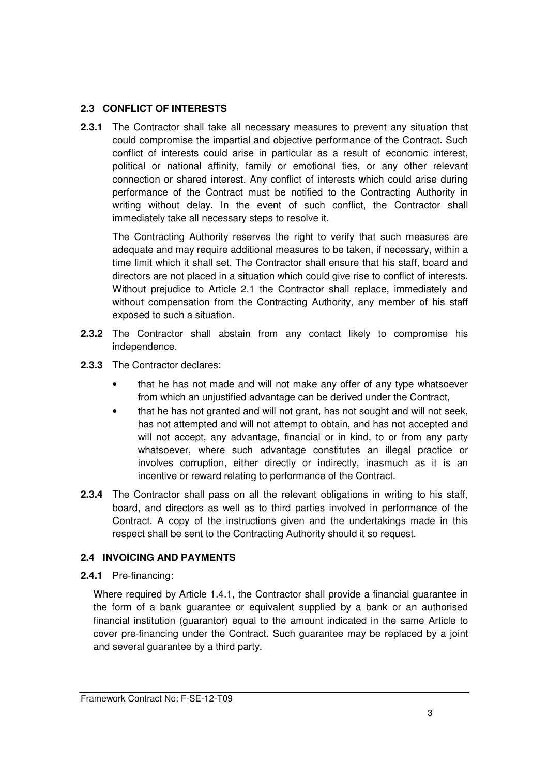### **2.3 CONFLICT OF INTERESTS**

**2.3.1** The Contractor shall take all necessary measures to prevent any situation that could compromise the impartial and objective performance of the Contract. Such conflict of interests could arise in particular as a result of economic interest, political or national affinity, family or emotional ties, or any other relevant connection or shared interest. Any conflict of interests which could arise during performance of the Contract must be notified to the Contracting Authority in writing without delay. In the event of such conflict, the Contractor shall immediately take all necessary steps to resolve it.

 The Contracting Authority reserves the right to verify that such measures are adequate and may require additional measures to be taken, if necessary, within a time limit which it shall set. The Contractor shall ensure that his staff, board and directors are not placed in a situation which could give rise to conflict of interests. Without prejudice to Article 2.1 the Contractor shall replace, immediately and without compensation from the Contracting Authority, any member of his staff exposed to such a situation.

- **2.3.2** The Contractor shall abstain from any contact likely to compromise his independence.
- **2.3.3** The Contractor declares:
	- that he has not made and will not make any offer of any type whatsoever from which an unjustified advantage can be derived under the Contract,
	- that he has not granted and will not grant, has not sought and will not seek, has not attempted and will not attempt to obtain, and has not accepted and will not accept, any advantage, financial or in kind, to or from any party whatsoever, where such advantage constitutes an illegal practice or involves corruption, either directly or indirectly, inasmuch as it is an incentive or reward relating to performance of the Contract.
- **2.3.4** The Contractor shall pass on all the relevant obligations in writing to his staff, board, and directors as well as to third parties involved in performance of the Contract. A copy of the instructions given and the undertakings made in this respect shall be sent to the Contracting Authority should it so request.

## **2.4 INVOICING AND PAYMENTS**

**2.4.1** Pre-financing:

Where required by Article 1.4.1, the Contractor shall provide a financial guarantee in the form of a bank guarantee or equivalent supplied by a bank or an authorised financial institution (guarantor) equal to the amount indicated in the same Article to cover pre-financing under the Contract. Such guarantee may be replaced by a joint and several guarantee by a third party.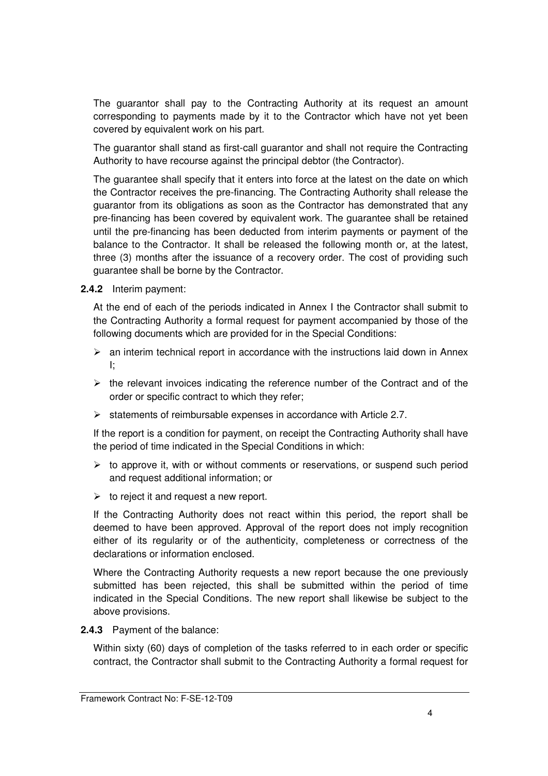The guarantor shall pay to the Contracting Authority at its request an amount corresponding to payments made by it to the Contractor which have not yet been covered by equivalent work on his part.

The guarantor shall stand as first-call guarantor and shall not require the Contracting Authority to have recourse against the principal debtor (the Contractor).

The guarantee shall specify that it enters into force at the latest on the date on which the Contractor receives the pre-financing. The Contracting Authority shall release the guarantor from its obligations as soon as the Contractor has demonstrated that any pre-financing has been covered by equivalent work. The guarantee shall be retained until the pre-financing has been deducted from interim payments or payment of the balance to the Contractor. It shall be released the following month or, at the latest, three (3) months after the issuance of a recovery order. The cost of providing such guarantee shall be borne by the Contractor.

**2.4.2** Interim payment:

At the end of each of the periods indicated in Annex I the Contractor shall submit to the Contracting Authority a formal request for payment accompanied by those of the following documents which are provided for in the Special Conditions:

- $\triangleright$  an interim technical report in accordance with the instructions laid down in Annex I;
- $\triangleright$  the relevant invoices indicating the reference number of the Contract and of the order or specific contract to which they refer;
- $\triangleright$  statements of reimbursable expenses in accordance with Article 2.7.

If the report is a condition for payment, on receipt the Contracting Authority shall have the period of time indicated in the Special Conditions in which:

- $\triangleright$  to approve it, with or without comments or reservations, or suspend such period and request additional information; or
- $\triangleright$  to reject it and request a new report.

If the Contracting Authority does not react within this period, the report shall be deemed to have been approved. Approval of the report does not imply recognition either of its regularity or of the authenticity, completeness or correctness of the declarations or information enclosed.

Where the Contracting Authority requests a new report because the one previously submitted has been rejected, this shall be submitted within the period of time indicated in the Special Conditions. The new report shall likewise be subject to the above provisions.

**2.4.3** Payment of the balance:

Within sixty (60) days of completion of the tasks referred to in each order or specific contract, the Contractor shall submit to the Contracting Authority a formal request for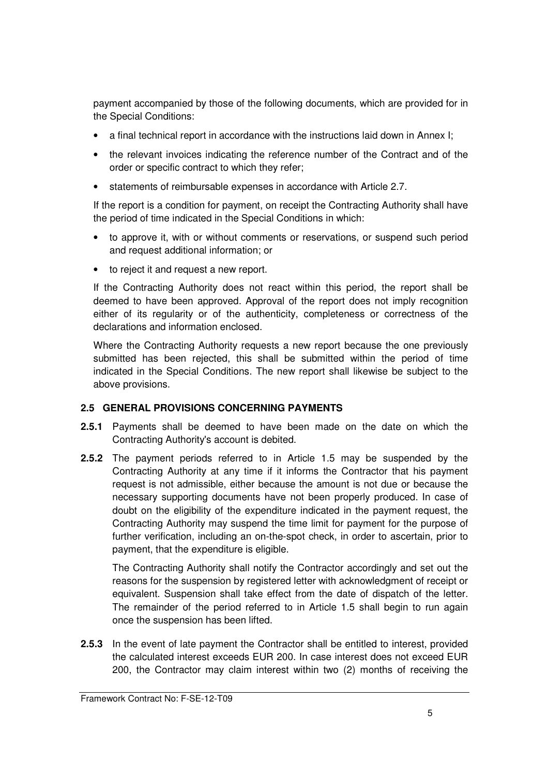payment accompanied by those of the following documents, which are provided for in the Special Conditions:

- a final technical report in accordance with the instructions laid down in Annex I;
- the relevant invoices indicating the reference number of the Contract and of the order or specific contract to which they refer;
- statements of reimbursable expenses in accordance with Article 2.7.

If the report is a condition for payment, on receipt the Contracting Authority shall have the period of time indicated in the Special Conditions in which:

- to approve it, with or without comments or reservations, or suspend such period and request additional information; or
- to reject it and request a new report.

If the Contracting Authority does not react within this period, the report shall be deemed to have been approved. Approval of the report does not imply recognition either of its regularity or of the authenticity, completeness or correctness of the declarations and information enclosed.

Where the Contracting Authority requests a new report because the one previously submitted has been rejected, this shall be submitted within the period of time indicated in the Special Conditions. The new report shall likewise be subject to the above provisions.

#### **2.5 GENERAL PROVISIONS CONCERNING PAYMENTS**

- **2.5.1** Payments shall be deemed to have been made on the date on which the Contracting Authority's account is debited.
- **2.5.2** The payment periods referred to in Article 1.5 may be suspended by the Contracting Authority at any time if it informs the Contractor that his payment request is not admissible, either because the amount is not due or because the necessary supporting documents have not been properly produced. In case of doubt on the eligibility of the expenditure indicated in the payment request, the Contracting Authority may suspend the time limit for payment for the purpose of further verification, including an on-the-spot check, in order to ascertain, prior to payment, that the expenditure is eligible.

The Contracting Authority shall notify the Contractor accordingly and set out the reasons for the suspension by registered letter with acknowledgment of receipt or equivalent. Suspension shall take effect from the date of dispatch of the letter. The remainder of the period referred to in Article 1.5 shall begin to run again once the suspension has been lifted.

**2.5.3** In the event of late payment the Contractor shall be entitled to interest, provided the calculated interest exceeds EUR 200. In case interest does not exceed EUR 200, the Contractor may claim interest within two (2) months of receiving the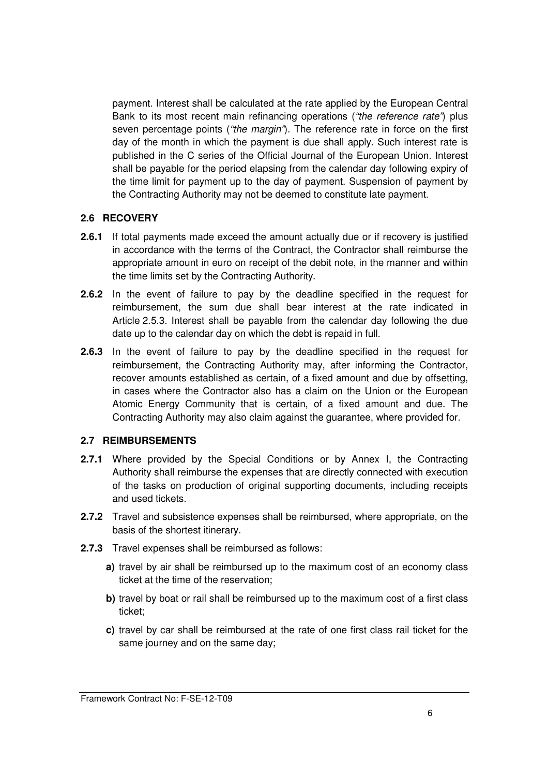payment. Interest shall be calculated at the rate applied by the European Central Bank to its most recent main refinancing operations ("the reference rate") plus seven percentage points ("the margin"). The reference rate in force on the first day of the month in which the payment is due shall apply. Such interest rate is published in the C series of the Official Journal of the European Union. Interest shall be payable for the period elapsing from the calendar day following expiry of the time limit for payment up to the day of payment. Suspension of payment by the Contracting Authority may not be deemed to constitute late payment.

#### **2.6 RECOVERY**

- **2.6.1** If total payments made exceed the amount actually due or if recovery is justified in accordance with the terms of the Contract, the Contractor shall reimburse the appropriate amount in euro on receipt of the debit note, in the manner and within the time limits set by the Contracting Authority.
- **2.6.2** In the event of failure to pay by the deadline specified in the request for reimbursement, the sum due shall bear interest at the rate indicated in Article 2.5.3. Interest shall be payable from the calendar day following the due date up to the calendar day on which the debt is repaid in full.
- **2.6.3** In the event of failure to pay by the deadline specified in the request for reimbursement, the Contracting Authority may, after informing the Contractor, recover amounts established as certain, of a fixed amount and due by offsetting, in cases where the Contractor also has a claim on the Union or the European Atomic Energy Community that is certain, of a fixed amount and due. The Contracting Authority may also claim against the guarantee, where provided for.

#### **2.7 REIMBURSEMENTS**

- **2.7.1** Where provided by the Special Conditions or by Annex I, the Contracting Authority shall reimburse the expenses that are directly connected with execution of the tasks on production of original supporting documents, including receipts and used tickets.
- **2.7.2** Travel and subsistence expenses shall be reimbursed, where appropriate, on the basis of the shortest itinerary.
- **2.7.3** Travel expenses shall be reimbursed as follows:
	- **a)** travel by air shall be reimbursed up to the maximum cost of an economy class ticket at the time of the reservation;
	- **b)** travel by boat or rail shall be reimbursed up to the maximum cost of a first class ticket;
	- **c)** travel by car shall be reimbursed at the rate of one first class rail ticket for the same journey and on the same day;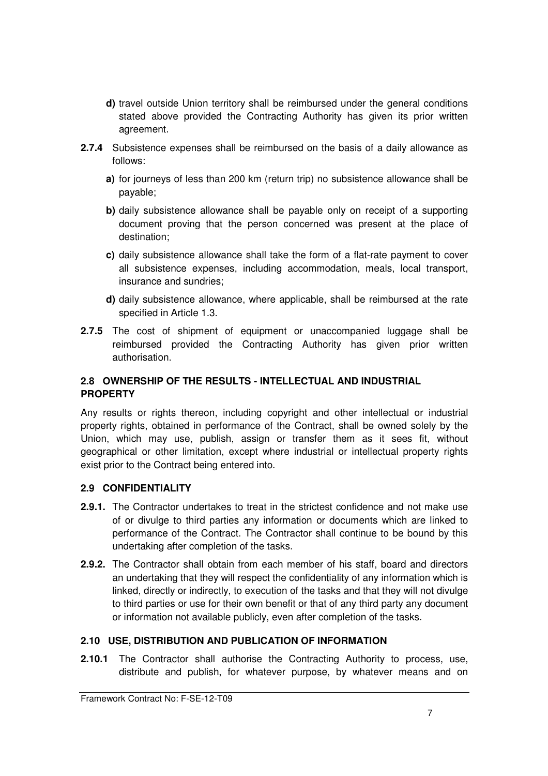- **d)** travel outside Union territory shall be reimbursed under the general conditions stated above provided the Contracting Authority has given its prior written agreement.
- **2.7.4** Subsistence expenses shall be reimbursed on the basis of a daily allowance as follows:
	- **a)** for journeys of less than 200 km (return trip) no subsistence allowance shall be payable;
	- **b)** daily subsistence allowance shall be payable only on receipt of a supporting document proving that the person concerned was present at the place of destination;
	- **c)** daily subsistence allowance shall take the form of a flat-rate payment to cover all subsistence expenses, including accommodation, meals, local transport, insurance and sundries;
	- **d)** daily subsistence allowance, where applicable, shall be reimbursed at the rate specified in Article 1.3.
- **2.7.5** The cost of shipment of equipment or unaccompanied luggage shall be reimbursed provided the Contracting Authority has given prior written authorisation.

## **2.8 OWNERSHIP OF THE RESULTS - INTELLECTUAL AND INDUSTRIAL PROPERTY**

Any results or rights thereon, including copyright and other intellectual or industrial property rights, obtained in performance of the Contract, shall be owned solely by the Union, which may use, publish, assign or transfer them as it sees fit, without geographical or other limitation, except where industrial or intellectual property rights exist prior to the Contract being entered into.

#### **2.9 CONFIDENTIALITY**

- **2.9.1.** The Contractor undertakes to treat in the strictest confidence and not make use of or divulge to third parties any information or documents which are linked to performance of the Contract. The Contractor shall continue to be bound by this undertaking after completion of the tasks.
- **2.9.2.** The Contractor shall obtain from each member of his staff, board and directors an undertaking that they will respect the confidentiality of any information which is linked, directly or indirectly, to execution of the tasks and that they will not divulge to third parties or use for their own benefit or that of any third party any document or information not available publicly, even after completion of the tasks.

#### **2.10 USE, DISTRIBUTION AND PUBLICATION OF INFORMATION**

**2.10.1** The Contractor shall authorise the Contracting Authority to process, use, distribute and publish, for whatever purpose, by whatever means and on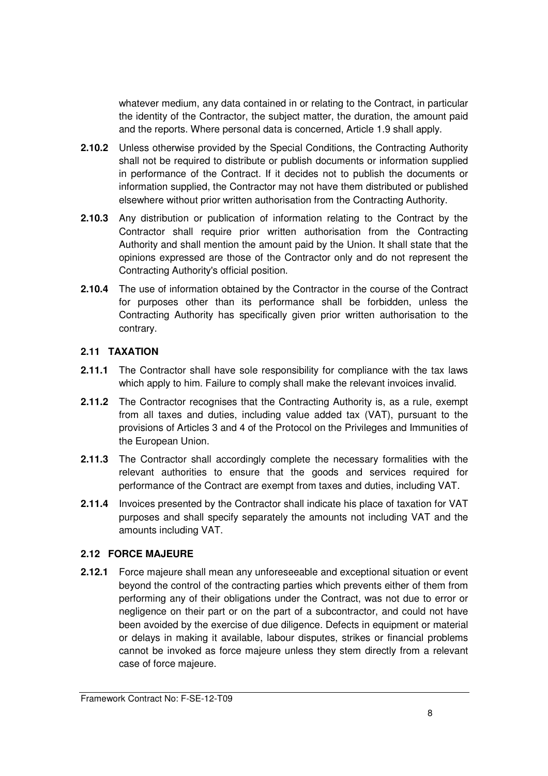whatever medium, any data contained in or relating to the Contract, in particular the identity of the Contractor, the subject matter, the duration, the amount paid and the reports. Where personal data is concerned, Article 1.9 shall apply.

- **2.10.2** Unless otherwise provided by the Special Conditions, the Contracting Authority shall not be required to distribute or publish documents or information supplied in performance of the Contract. If it decides not to publish the documents or information supplied, the Contractor may not have them distributed or published elsewhere without prior written authorisation from the Contracting Authority.
- **2.10.3** Any distribution or publication of information relating to the Contract by the Contractor shall require prior written authorisation from the Contracting Authority and shall mention the amount paid by the Union. It shall state that the opinions expressed are those of the Contractor only and do not represent the Contracting Authority's official position.
- **2.10.4** The use of information obtained by the Contractor in the course of the Contract for purposes other than its performance shall be forbidden, unless the Contracting Authority has specifically given prior written authorisation to the contrary.

### **2.11 TAXATION**

- **2.11.1** The Contractor shall have sole responsibility for compliance with the tax laws which apply to him. Failure to comply shall make the relevant invoices invalid.
- **2.11.2** The Contractor recognises that the Contracting Authority is, as a rule, exempt from all taxes and duties, including value added tax (VAT), pursuant to the provisions of Articles 3 and 4 of the Protocol on the Privileges and Immunities of the European Union.
- **2.11.3** The Contractor shall accordingly complete the necessary formalities with the relevant authorities to ensure that the goods and services required for performance of the Contract are exempt from taxes and duties, including VAT.
- **2.11.4** Invoices presented by the Contractor shall indicate his place of taxation for VAT purposes and shall specify separately the amounts not including VAT and the amounts including VAT.

#### **2.12 FORCE MAJEURE**

**2.12.1** Force majeure shall mean any unforeseeable and exceptional situation or event beyond the control of the contracting parties which prevents either of them from performing any of their obligations under the Contract, was not due to error or negligence on their part or on the part of a subcontractor, and could not have been avoided by the exercise of due diligence. Defects in equipment or material or delays in making it available, labour disputes, strikes or financial problems cannot be invoked as force majeure unless they stem directly from a relevant case of force majeure.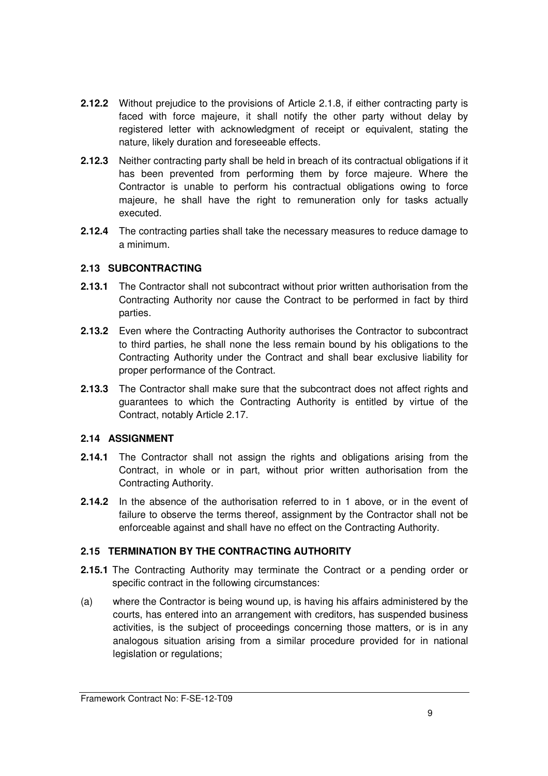- **2.12.2** Without prejudice to the provisions of Article 2.1.8, if either contracting party is faced with force majeure, it shall notify the other party without delay by registered letter with acknowledgment of receipt or equivalent, stating the nature, likely duration and foreseeable effects.
- **2.12.3** Neither contracting party shall be held in breach of its contractual obligations if it has been prevented from performing them by force majeure. Where the Contractor is unable to perform his contractual obligations owing to force majeure, he shall have the right to remuneration only for tasks actually executed.
- **2.12.4** The contracting parties shall take the necessary measures to reduce damage to a minimum.

### **2.13 SUBCONTRACTING**

- **2.13.1** The Contractor shall not subcontract without prior written authorisation from the Contracting Authority nor cause the Contract to be performed in fact by third parties.
- **2.13.2** Even where the Contracting Authority authorises the Contractor to subcontract to third parties, he shall none the less remain bound by his obligations to the Contracting Authority under the Contract and shall bear exclusive liability for proper performance of the Contract.
- **2.13.3** The Contractor shall make sure that the subcontract does not affect rights and guarantees to which the Contracting Authority is entitled by virtue of the Contract, notably Article 2.17.

#### **2.14 ASSIGNMENT**

- **2.14.1** The Contractor shall not assign the rights and obligations arising from the Contract, in whole or in part, without prior written authorisation from the Contracting Authority.
- **2.14.2** In the absence of the authorisation referred to in 1 above, or in the event of failure to observe the terms thereof, assignment by the Contractor shall not be enforceable against and shall have no effect on the Contracting Authority.

#### **2.15 TERMINATION BY THE CONTRACTING AUTHORITY**

- **2.15.1** The Contracting Authority may terminate the Contract or a pending order or specific contract in the following circumstances:
- (a) where the Contractor is being wound up, is having his affairs administered by the courts, has entered into an arrangement with creditors, has suspended business activities, is the subject of proceedings concerning those matters, or is in any analogous situation arising from a similar procedure provided for in national legislation or regulations;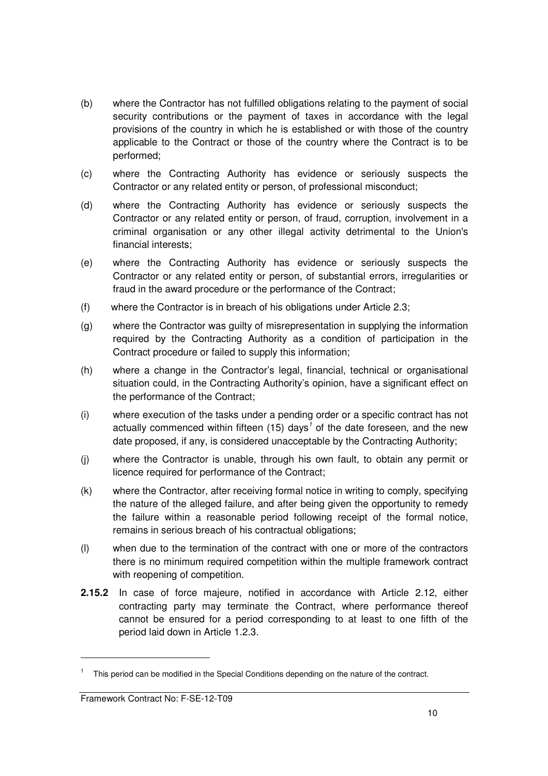- (b) where the Contractor has not fulfilled obligations relating to the payment of social security contributions or the payment of taxes in accordance with the legal provisions of the country in which he is established or with those of the country applicable to the Contract or those of the country where the Contract is to be performed;
- (c) where the Contracting Authority has evidence or seriously suspects the Contractor or any related entity or person, of professional misconduct;
- (d) where the Contracting Authority has evidence or seriously suspects the Contractor or any related entity or person, of fraud, corruption, involvement in a criminal organisation or any other illegal activity detrimental to the Union's financial interests;
- (e) where the Contracting Authority has evidence or seriously suspects the Contractor or any related entity or person, of substantial errors, irregularities or fraud in the award procedure or the performance of the Contract;
- (f) where the Contractor is in breach of his obligations under Article 2.3;
- (g) where the Contractor was guilty of misrepresentation in supplying the information required by the Contracting Authority as a condition of participation in the Contract procedure or failed to supply this information;
- (h) where a change in the Contractor's legal, financial, technical or organisational situation could, in the Contracting Authority's opinion, have a significant effect on the performance of the Contract;
- (i) where execution of the tasks under a pending order or a specific contract has not actually commenced within fifteen (15) days<sup>1</sup> of the date foreseen, and the new date proposed, if any, is considered unacceptable by the Contracting Authority;
- (j) where the Contractor is unable, through his own fault, to obtain any permit or licence required for performance of the Contract;
- (k) where the Contractor, after receiving formal notice in writing to comply, specifying the nature of the alleged failure, and after being given the opportunity to remedy the failure within a reasonable period following receipt of the formal notice, remains in serious breach of his contractual obligations;
- (l) when due to the termination of the contract with one or more of the contractors there is no minimum required competition within the multiple framework contract with reopening of competition.
- **2.15.2** In case of force majeure, notified in accordance with Article 2.12, either contracting party may terminate the Contract, where performance thereof cannot be ensured for a period corresponding to at least to one fifth of the period laid down in Article 1.2.3.

-

<sup>&</sup>lt;sup>1</sup> This period can be modified in the Special Conditions depending on the nature of the contract.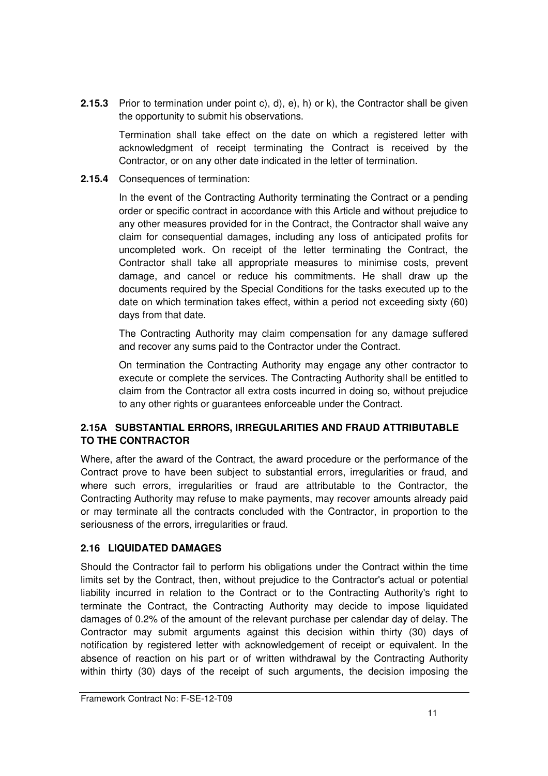**2.15.3** Prior to termination under point c), d), e), h) or k), the Contractor shall be given the opportunity to submit his observations.

Termination shall take effect on the date on which a registered letter with acknowledgment of receipt terminating the Contract is received by the Contractor, or on any other date indicated in the letter of termination.

**2.15.4** Consequences of termination:

In the event of the Contracting Authority terminating the Contract or a pending order or specific contract in accordance with this Article and without prejudice to any other measures provided for in the Contract, the Contractor shall waive any claim for consequential damages, including any loss of anticipated profits for uncompleted work. On receipt of the letter terminating the Contract, the Contractor shall take all appropriate measures to minimise costs, prevent damage, and cancel or reduce his commitments. He shall draw up the documents required by the Special Conditions for the tasks executed up to the date on which termination takes effect, within a period not exceeding sixty (60) days from that date.

The Contracting Authority may claim compensation for any damage suffered and recover any sums paid to the Contractor under the Contract.

On termination the Contracting Authority may engage any other contractor to execute or complete the services. The Contracting Authority shall be entitled to claim from the Contractor all extra costs incurred in doing so, without prejudice to any other rights or guarantees enforceable under the Contract.

## **2.15A SUBSTANTIAL ERRORS, IRREGULARITIES AND FRAUD ATTRIBUTABLE TO THE CONTRACTOR**

Where, after the award of the Contract, the award procedure or the performance of the Contract prove to have been subject to substantial errors, irregularities or fraud, and where such errors, irregularities or fraud are attributable to the Contractor, the Contracting Authority may refuse to make payments, may recover amounts already paid or may terminate all the contracts concluded with the Contractor, in proportion to the seriousness of the errors, irregularities or fraud.

## **2.16 LIQUIDATED DAMAGES**

Should the Contractor fail to perform his obligations under the Contract within the time limits set by the Contract, then, without prejudice to the Contractor's actual or potential liability incurred in relation to the Contract or to the Contracting Authority's right to terminate the Contract, the Contracting Authority may decide to impose liquidated damages of 0.2% of the amount of the relevant purchase per calendar day of delay. The Contractor may submit arguments against this decision within thirty (30) days of notification by registered letter with acknowledgement of receipt or equivalent. In the absence of reaction on his part or of written withdrawal by the Contracting Authority within thirty (30) days of the receipt of such arguments, the decision imposing the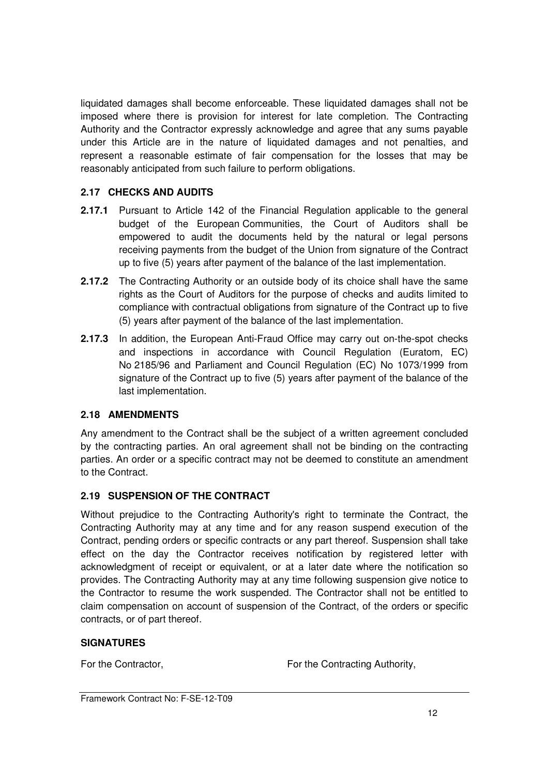liquidated damages shall become enforceable. These liquidated damages shall not be imposed where there is provision for interest for late completion. The Contracting Authority and the Contractor expressly acknowledge and agree that any sums payable under this Article are in the nature of liquidated damages and not penalties, and represent a reasonable estimate of fair compensation for the losses that may be reasonably anticipated from such failure to perform obligations.

#### **2.17 CHECKS AND AUDITS**

- **2.17.1** Pursuant to Article 142 of the Financial Regulation applicable to the general budget of the European Communities, the Court of Auditors shall be empowered to audit the documents held by the natural or legal persons receiving payments from the budget of the Union from signature of the Contract up to five (5) years after payment of the balance of the last implementation.
- **2.17.2** The Contracting Authority or an outside body of its choice shall have the same rights as the Court of Auditors for the purpose of checks and audits limited to compliance with contractual obligations from signature of the Contract up to five (5) years after payment of the balance of the last implementation.
- **2.17.3** In addition, the European Anti-Fraud Office may carry out on-the-spot checks and inspections in accordance with Council Regulation (Euratom, EC) No 2185/96 and Parliament and Council Regulation (EC) No 1073/1999 from signature of the Contract up to five (5) years after payment of the balance of the last implementation.

#### **2.18 AMENDMENTS**

Any amendment to the Contract shall be the subject of a written agreement concluded by the contracting parties. An oral agreement shall not be binding on the contracting parties. An order or a specific contract may not be deemed to constitute an amendment to the Contract.

#### **2.19 SUSPENSION OF THE CONTRACT**

Without prejudice to the Contracting Authority's right to terminate the Contract, the Contracting Authority may at any time and for any reason suspend execution of the Contract, pending orders or specific contracts or any part thereof. Suspension shall take effect on the day the Contractor receives notification by registered letter with acknowledgment of receipt or equivalent, or at a later date where the notification so provides. The Contracting Authority may at any time following suspension give notice to the Contractor to resume the work suspended. The Contractor shall not be entitled to claim compensation on account of suspension of the Contract, of the orders or specific contracts, or of part thereof.

#### **SIGNATURES**

For the Contractor, **For the Contracting Authority,** For the Contracting Authority,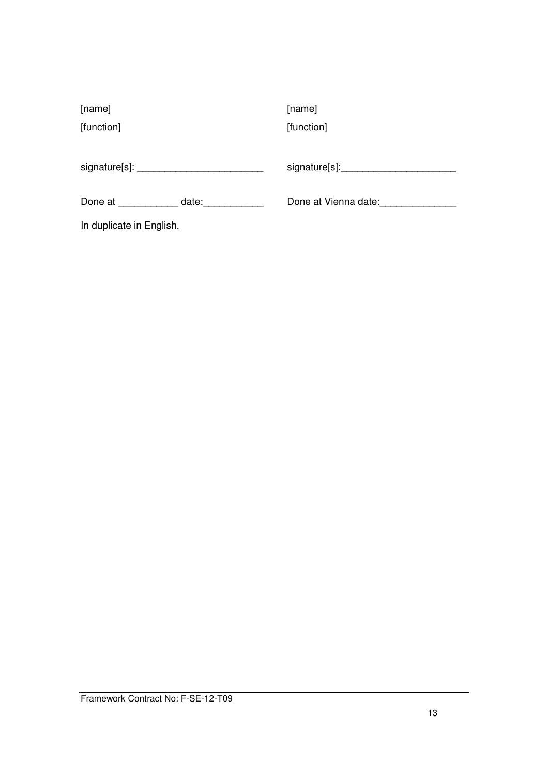| [name]                   |       | [name]               |
|--------------------------|-------|----------------------|
| [function]               |       | [function]           |
|                          |       |                      |
|                          |       | signature[s]:        |
| Done at                  | date: | Done at Vienna date: |
| In duplicate in English. |       |                      |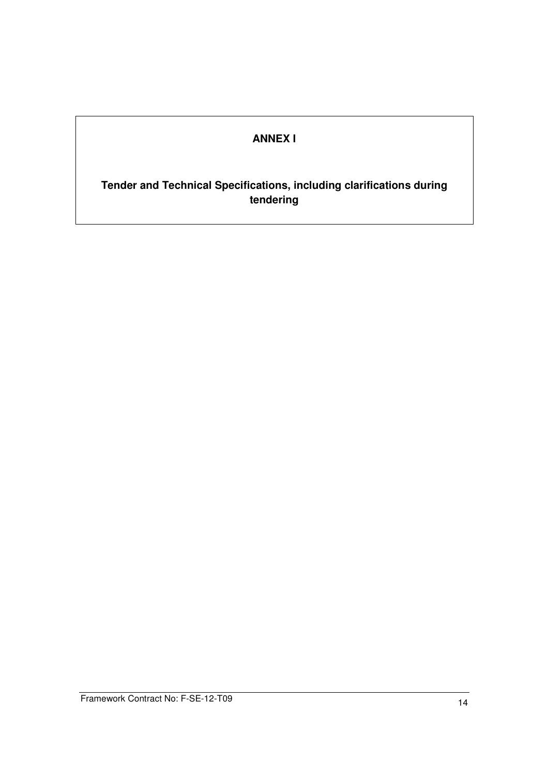## **ANNEX I**

## **Tender and Technical Specifications, including clarifications during tendering**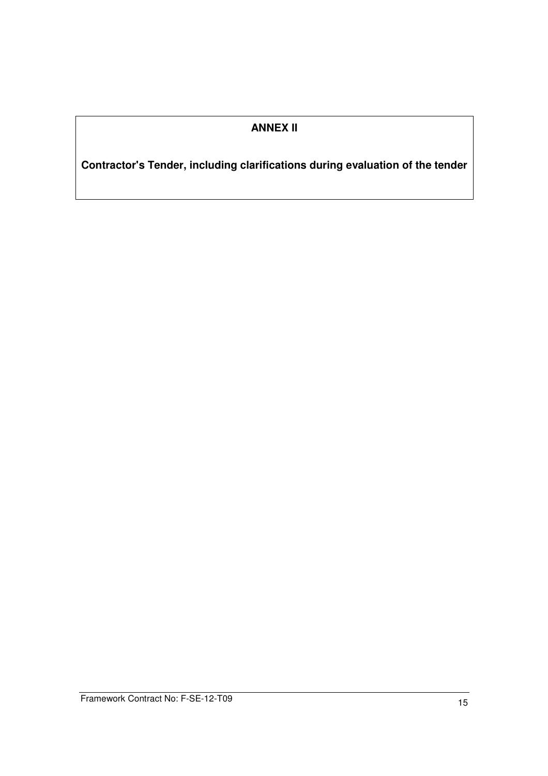## **ANNEX II**

**Contractor's Tender, including clarifications during evaluation of the tender**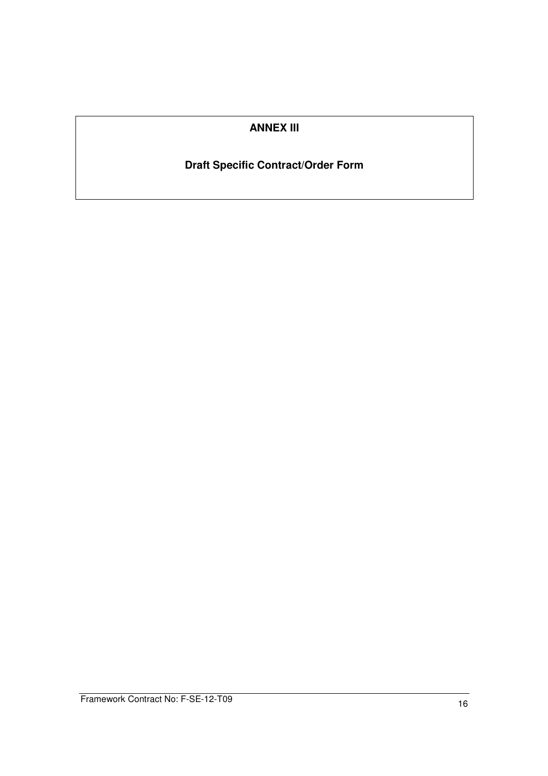## **ANNEX III**

## **Draft Specific Contract/Order Form**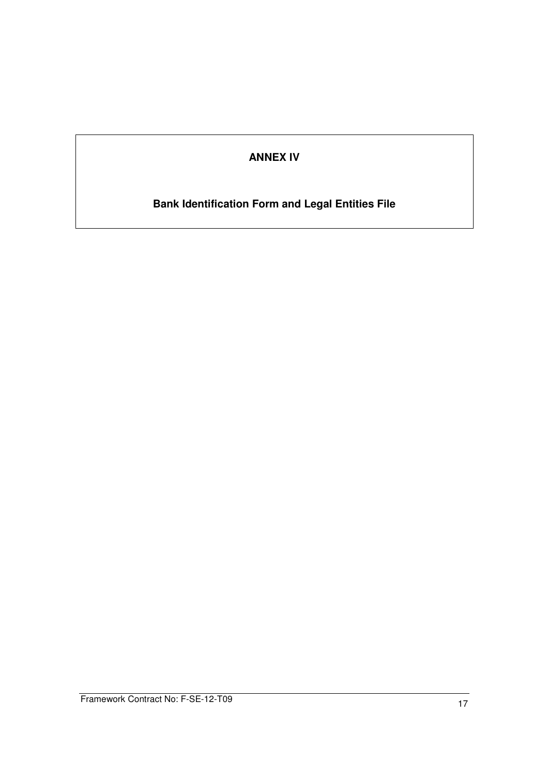## **ANNEX IV**

# **Bank Identification Form and Legal Entities File**